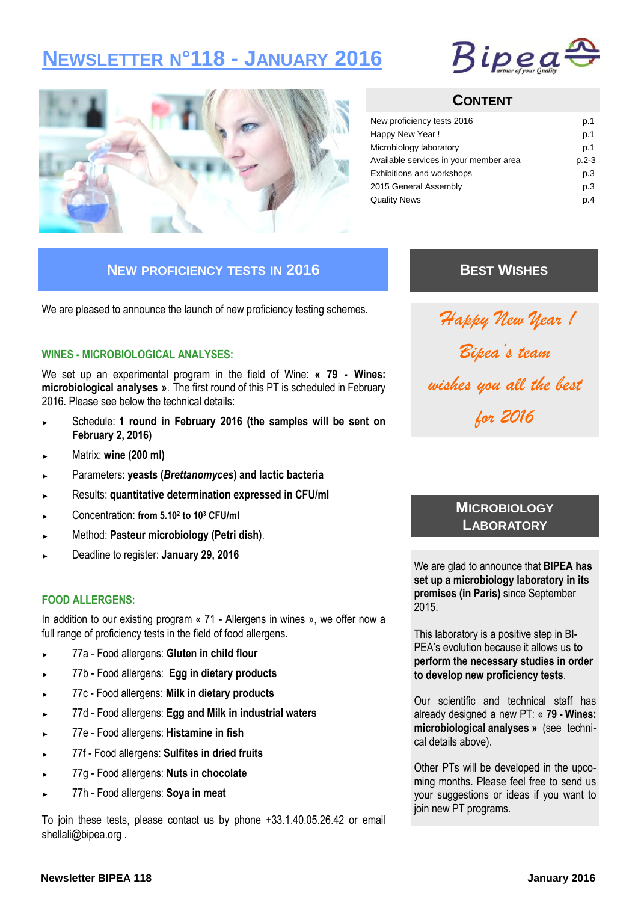# **NEWSLETTER N°118 - JANUARY 2016**





### **CONTENT**

| New proficiency tests 2016             | p.1     |
|----------------------------------------|---------|
| Happy New Year!                        | p.1     |
| Microbiology laboratory                | p.1     |
| Available services in your member area | $p.2-3$ |
| <b>Exhibitions and workshops</b>       | p.3     |
| 2015 General Assembly                  | p.3     |
| <b>Quality News</b>                    | p.4     |

### **NEW PROFICIENCY TESTS IN 2016**

We are pleased to announce the launch of new proficiency testing schemes.

### **WINES - MICROBIOLOGICAL ANALYSES:**

We set up an experimental program in the field of Wine: **« 79 - Wines: microbiological analyses »**. The first round of this PT is scheduled in February 2016. Please see below the technical details:

- Schedule: 1 round in February 2016 (the samples will be sent on **February 2, 2016)**
- ► Matrix: **wine (200 ml)**
- ► Parameters: **yeasts (***Brettanomyces***) and lactic bacteria**
- ► Results: **quantitative determination expressed in CFU/ml**
- ► Concentration: **from 5.10<sup>2</sup> to 10<sup>3</sup> CFU/ml**
- ► Method: **Pasteur microbiology (Petri dish)**.
- ► Deadline to register: **January 29, 2016**

### **FOOD ALLERGENS:**

In addition to our existing program « 71 - Allergens in wines », we offer now a full range of proficiency tests in the field of food allergens.

- ► 77a Food allergens: **Gluten in child flour**
- ► 77b Food allergens: **Egg in dietary products**
- ► 77c Food allergens: **Milk in dietary products**
- ► 77d Food allergens: **Egg and Milk in industrial waters**
- ► 77e Food allergens: **Histamine in fish**
- ► 77f Food allergens: **Sulfites in dried fruits**
- ► 77g Food allergens: **Nuts in chocolate**
- ► 77h Food allergens: **Soya in meat**

To join these tests, please contact us by phone +33.1.40.05.26.42 or email shellali@bipea.org .

# **BEST WISHES**

*Happy New Year ! Bipea's team wishes you all the best for 2016*

### **MICROBIOLOGY LABORATORY**

We are glad to announce that **BIPEA has set up a microbiology laboratory in its premises (in Paris)** since September 2015.

This laboratory is a positive step in BI-PEA's evolution because it allows us **to perform the necessary studies in order to develop new proficiency tests**.

Our scientific and technical staff has already designed a new PT: « **79 - Wines: microbiological analyses »** (see technical details above).

Other PTs will be developed in the upcoming months. Please feel free to send us your suggestions or ideas if you want to join new PT programs.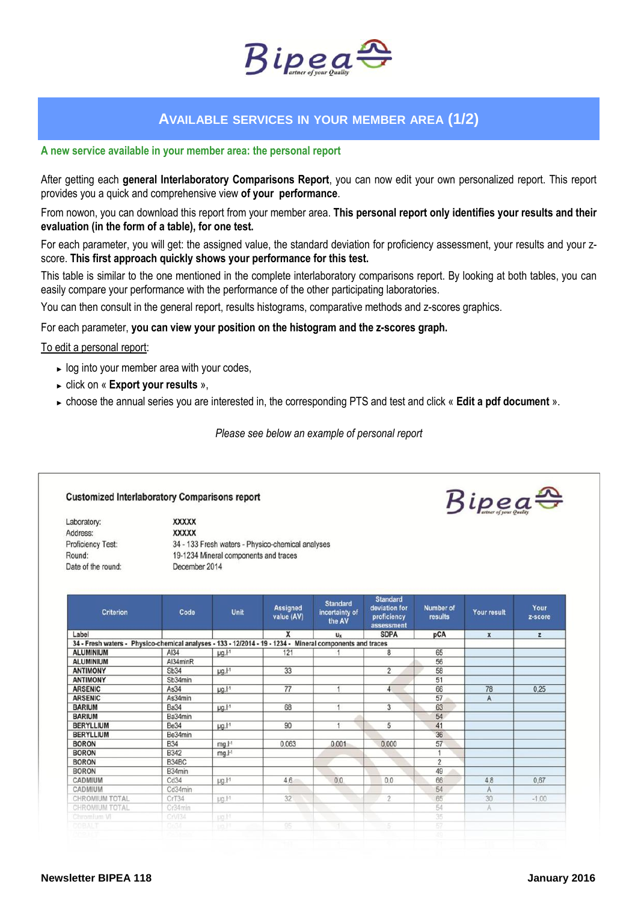

### **AVAILABLE SERVICES IN YOUR MEMBER AREA (1/2)**

#### **A new service available in your member area: the personal report**

After getting each **general Interlaboratory Comparisons Report**, you can now edit your own personalized report. This report provides you a quick and comprehensive view **of your performance**.

From nowon, you can download this report from your member area. **This personal report only identifies your results and their evaluation (in the form of a table), for one test.** 

For each parameter, you will get: the assigned value, the standard deviation for proficiency assessment, your results and your zscore. **This first approach quickly shows your performance for this test.**

This table is similar to the one mentioned in the complete interlaboratory comparisons report. By looking at both tables, you can easily compare your performance with the performance of the other participating laboratories.

You can then consult in the general report, results histograms, comparative methods and z-scores graphics.

#### For each parameter, **you can view your position on the histogram and the z-scores graph.**

#### To edit a personal report:

- ► log into your member area with your codes,
- ► click on « **Export your results** »,
- ► choose the annual series you are interested in, the corresponding PTS and test and click « **Edit a pdf document** ».

*Please see below an example of personal report*

#### **Customized Interlaboratory Comparisons report**

**XXXXX** 

Laboratory: Address: Proficiency Test: Round: Date of the round:

**XXXXX** 34 - 133 Fresh waters - Physico-chemical analyses 19-1234 Mineral components and traces December 2014

| <b>Criterion</b>                                                                                          | Code        | <b>Unit</b>        | Assigned<br>value (AV) | <b>Standard</b><br>incertainty of<br>the AV | <b>Standard</b><br>deviation for<br>proficiency<br>assessment | Number of<br>results | Your result        | Your<br>z-score |
|-----------------------------------------------------------------------------------------------------------|-------------|--------------------|------------------------|---------------------------------------------|---------------------------------------------------------------|----------------------|--------------------|-----------------|
| Label                                                                                                     |             |                    | X                      | u <sub>x</sub>                              | <b>SDPA</b>                                                   | pCA                  | $\pmb{\mathsf{x}}$ | $\mathbf{z}$    |
| 34 - Fresh waters - Physico-chemical analyses - 133 - 12/2014 - 19 - 1234 - Mineral components and traces |             |                    |                        |                                             |                                                               |                      |                    |                 |
| <b>ALUMINIUM</b>                                                                                          | AI34        | $\mu$ g. $I^{-1}$  | 121                    |                                             | 8                                                             | 65                   |                    |                 |
| <b>ALUMINIUM</b>                                                                                          | Al34minR    |                    |                        |                                             |                                                               | 56                   |                    |                 |
| <b>ANTIMONY</b>                                                                                           | Sb34        | $\mu$ g. $I-1$     | 33                     |                                             | $\overline{2}$                                                | 58                   |                    |                 |
| <b>ANTIMONY</b>                                                                                           | Sb34min     |                    |                        |                                             |                                                               | 51                   |                    |                 |
| <b>ARSENIC</b>                                                                                            | As34        | $\mu$ g. $I^{-1}$  | 77                     | 1                                           | $\overline{4}$                                                | 66                   | 78                 | 0.25            |
| <b>ARSENIC</b>                                                                                            | As34min     |                    |                        |                                             |                                                               | 57                   | A                  |                 |
| <b>BARIUM</b>                                                                                             | <b>Ba34</b> | $\mu$ g. $I^{-1}$  | 68                     |                                             | 3                                                             | 63                   |                    |                 |
| <b>BARIUM</b>                                                                                             | Ba34min     |                    |                        |                                             |                                                               | 54                   |                    |                 |
| <b>BERYLLIUM</b>                                                                                          | <b>Be34</b> | $\mu$ g. $I-1$     | 90                     |                                             | 5                                                             | 41                   |                    |                 |
| <b>BERYLLIUM</b>                                                                                          | Be34min     |                    |                        |                                             |                                                               | 36                   |                    |                 |
| <b>BORON</b>                                                                                              | <b>B34</b>  | mg.l <sup>1</sup>  | 0.063                  | 0.001                                       | 0.000                                                         | 57                   |                    |                 |
| <b>BORON</b>                                                                                              | <b>B342</b> | $mg.l-1$           |                        |                                             |                                                               |                      |                    |                 |
| <b>BORON</b>                                                                                              | B34BC       |                    |                        |                                             |                                                               | $\overline{c}$       |                    |                 |
| <b>BORON</b>                                                                                              | B34min      |                    |                        |                                             |                                                               | 49                   |                    |                 |
| <b>CADMIUM</b>                                                                                            | Cd34        | $\mu$ g, $l$ -1    | 4,6                    | 0,0                                         | 0,0                                                           | 66                   | 4,8                | 0.67            |
| CADMIUM                                                                                                   | Cd34min     |                    |                        |                                             |                                                               | 54                   | A                  |                 |
| CHROMIUM TOTAL                                                                                            | CrT34       | $\mu$ g. $I$ -1    | 32                     |                                             | $\overline{2}$                                                | 65                   | 30                 | $-1,00$         |
| CHROMIUM TOTAL                                                                                            | Cr34min     |                    |                        |                                             |                                                               | 54                   | A                  |                 |
| Chromium VI                                                                                               | CrV134      | pg.11              |                        |                                             |                                                               | 35                   |                    |                 |
| COBALT                                                                                                    | 0034        | tial <sup>14</sup> | 95                     | иT                                          | 5                                                             | 57                   |                    |                 |
|                                                                                                           |             |                    |                        |                                             |                                                               | 20                   |                    |                 |

 $Bipea^{\bigoplus}$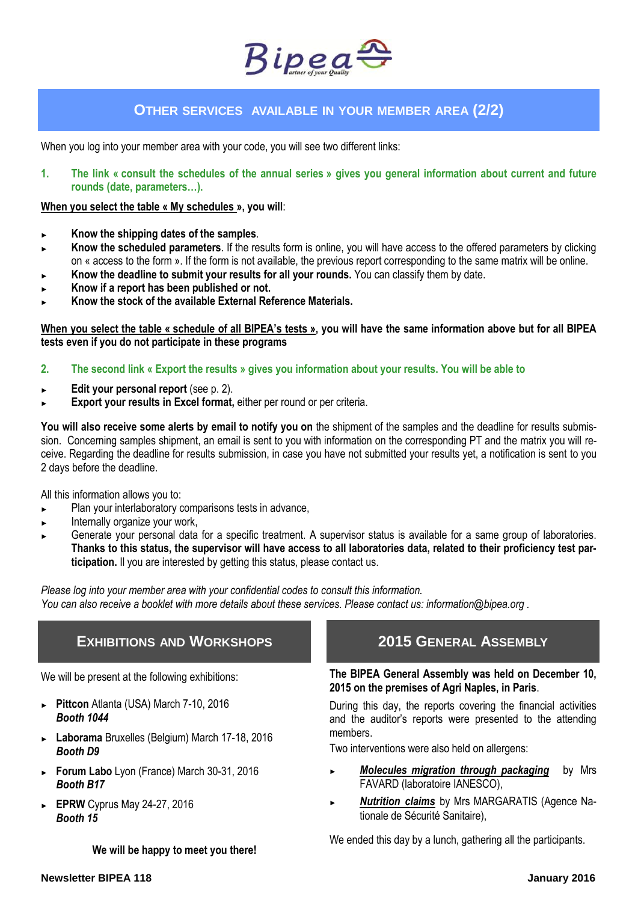

### **OTHER SERVICES AVAILABLE IN YOUR MEMBER AREA (2/2)**

When you log into your member area with your code, you will see two different links:

**1. The link « consult the schedules of the annual series » gives you general information about current and future rounds (date, parameters…).** 

#### **When you select the table « My schedules », you will**:

- ► **Know the shipping dates of the samples**.
- Know the scheduled parameters. If the results form is online, you will have access to the offered parameters by clicking on « access to the form ». If the form is not available, the previous report corresponding to the same matrix will be online.
- Know the deadline to submit your results for all your rounds. You can classify them by date.
- ► **Know if a report has been published or not.**
- ► **Know the stock of the available External Reference Materials.**

**When you select the table « schedule of all BIPEA's tests », you will have the same information above but for all BIPEA tests even if you do not participate in these programs**

- **2. The second link « Export the results » gives you information about your results. You will be able to**
- ► **Edit your personal report** (see p. 2).
- **Export your results in Excel format, either per round or per criteria.**

You will also receive some alerts by email to notify you on the shipment of the samples and the deadline for results submission. Concerning samples shipment, an email is sent to you with information on the corresponding PT and the matrix you will receive. Regarding the deadline for results submission, in case you have not submitted your results yet, a notification is sent to you 2 days before the deadline.

All this information allows you to:

- ► Plan your interlaboratory comparisons tests in advance,
- Internally organize your work,
- Generate your personal data for a specific treatment. A supervisor status is available for a same group of laboratories. **Thanks to this status, the supervisor will have access to all laboratories data, related to their proficiency test participation.** Il you are interested by getting this status, please contact us.

*Please log into your member area with your confidential codes to consult this information. You can also receive a booklet with more details about these services. Please contact us: information@bipea.org .*

### **EXHIBITIONS AND WORKSHOPS**

We will be present at the following exhibitions:

- ► **Pittcon** Atlanta (USA) March 7-10, 2016 *Booth 1044*
- ► **Laborama** Bruxelles (Belgium) March 17-18, 2016 *Booth D9*
- ► **Forum Labo** Lyon (France) March 30-31, 2016 *Booth B17*
- ► **EPRW** Cyprus May 24-27, 2016 *Booth 15*

**We will be happy to meet you there!**

## **2015 GENERAL ASSEMBLY**

### **The BIPEA General Assembly was held on December 10, 2015 on the premises of Agri Naples, in Paris**.

During this day, the reports covering the financial activities and the auditor's reports were presented to the attending members.

Two interventions were also held on allergens:

- **Molecules migration through packaging** by Mrs FAVARD (laboratoire IANESCO),
- ► *Nutrition claims* by Mrs MARGARATIS (Agence Nationale de Sécurité Sanitaire),

We ended this day by a lunch, gathering all the participants.